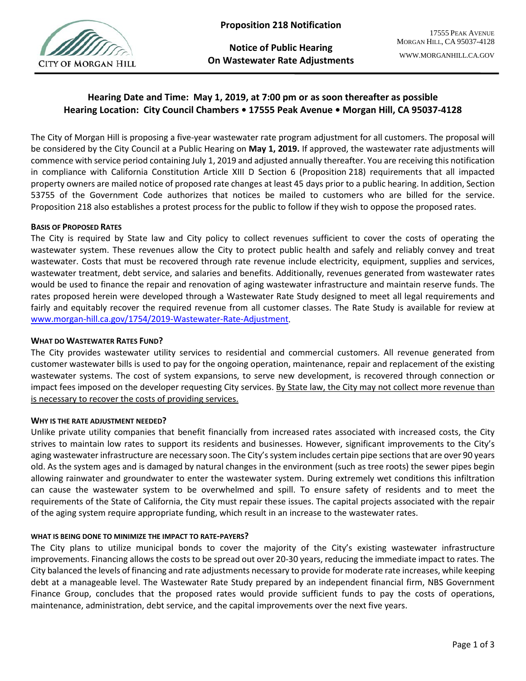

**Notice of Public Hearing On Wastewater Rate Adjustments**

# **Hearing Date and Time: May 1, 2019, at 7:00 pm or as soon thereafter as possible Hearing Location: City Council Chambers • 17555 Peak Avenue • Morgan Hill, CA 95037-4128**

The City of Morgan Hill is proposing a five-year wastewater rate program adjustment for all customers. The proposal will be considered by the City Council at a Public Hearing on **May 1, 2019.** If approved, the wastewater rate adjustments will commence with service period containing July 1, 2019 and adjusted annually thereafter. You are receiving this notification in compliance with California Constitution Article XIII D Section 6 (Proposition 218) requirements that all impacted property owners are mailed notice of proposed rate changes at least 45 days prior to a public hearing. In addition, Section 53755 of the Government Code authorizes that notices be mailed to customers who are billed for the service. Proposition 218 also establishes a protest process for the public to follow if they wish to oppose the proposed rates.

## **BASIS OF PROPOSED RATES**

The City is required by State law and City policy to collect revenues sufficient to cover the costs of operating the wastewater system. These revenues allow the City to protect public health and safely and reliably convey and treat wastewater. Costs that must be recovered through rate revenue include electricity, equipment, supplies and services, wastewater treatment, debt service, and salaries and benefits. Additionally, revenues generated from wastewater rates would be used to finance the repair and renovation of aging wastewater infrastructure and maintain reserve funds. The rates proposed herein were developed through a Wastewater Rate Study designed to meet all legal requirements and fairly and equitably recover the required revenue from all customer classes. The Rate Study is available for review at [www.morgan-hill.ca.gov/1754/2019-Wastewater-Rate-Adjustment.](http://www.morgan-hill.ca.gov/1754/2019-Wastewater-Rate-Adjustment)

#### **WHAT DO WASTEWATER RATES FUND?**

The City provides wastewater utility services to residential and commercial customers. All revenue generated from customer wastewater bills is used to pay for the ongoing operation, maintenance, repair and replacement of the existing wastewater systems. The cost of system expansions, to serve new development, is recovered through connection or impact fees imposed on the developer requesting City services. By State law, the City may not collect more revenue than is necessary to recover the costs of providing services.

#### **WHY IS THE RATE ADJUSTMENT NEEDED?**

Unlike private utility companies that benefit financially from increased rates associated with increased costs, the City strives to maintain low rates to support its residents and businesses. However, significant improvements to the City's aging wastewater infrastructure are necessary soon. The City's system includes certain pipe sections that are over 90 years old. As the system ages and is damaged by natural changes in the environment (such as tree roots) the sewer pipes begin allowing rainwater and groundwater to enter the wastewater system. During extremely wet conditions this infiltration can cause the wastewater system to be overwhelmed and spill. To ensure safety of residents and to meet the requirements of the State of California, the City must repair these issues. The capital projects associated with the repair of the aging system require appropriate funding, which result in an increase to the wastewater rates.

#### **WHAT IS BEING DONE TO MINIMIZE THE IMPACT TO RATE-PAYERS?**

The City plans to utilize municipal bonds to cover the majority of the City's existing wastewater infrastructure improvements. Financing allows the costs to be spread out over 20-30 years, reducing the immediate impact to rates. The City balanced the levels of financing and rate adjustments necessary to provide for moderate rate increases, while keeping debt at a manageable level. The Wastewater Rate Study prepared by an independent financial firm, NBS Government Finance Group, concludes that the proposed rates would provide sufficient funds to pay the costs of operations, maintenance, administration, debt service, and the capital improvements over the next five years.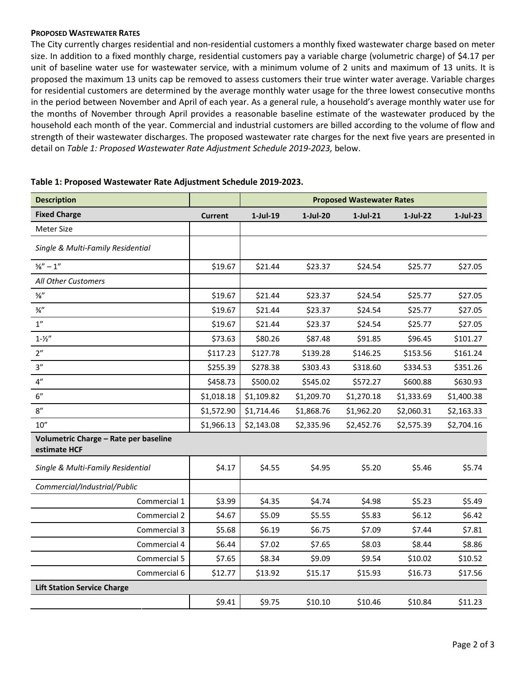#### **PROPOSED WASTEWATER RATES**

The City currently charges residential and non-residential customers a monthly fixed wastewater charge based on meter size. In addition to a fixed monthly charge, residential customers pay a variable charge (volumetric charge) of \$4.17 per unit of baseline water use for wastewater service, with a minimum volume of 2 units and maximum of 13 units. It is proposed the maximum 13 units cap be removed to assess customers their true winter water average. Variable charges for residential customers are determined by the average monthly water usage for the three lowest consecutive months in the period between November and April of each year. As a general rule, a household's average monthly water use for the months of November through April provides a reasonable baseline estimate of the wastewater produced by the household each month of the year. Commercial and industrial customers are billed according to the volume of flow and strength of their wastewater discharges. The proposed wastewater rate charges for the next five years are presented in detail on *Table 1: Proposed Wastewater Rate Adjustment Schedule 2019-2023,* below.

| <b>Description</b>                                    |                | <b>Proposed Wastewater Rates</b> |            |             |             |             |  |  |  |
|-------------------------------------------------------|----------------|----------------------------------|------------|-------------|-------------|-------------|--|--|--|
| <b>Fixed Charge</b>                                   | <b>Current</b> | $1$ -Jul-19                      | $1-Jul-20$ | $1$ -Jul-21 | $1$ -Jul-22 | $1$ -Jul-23 |  |  |  |
| Meter Size                                            |                |                                  |            |             |             |             |  |  |  |
| Single & Multi-Family Residential                     |                |                                  |            |             |             |             |  |  |  |
| $\frac{5}{8}$ " - 1"                                  | \$19.67        | \$21.44                          | \$23.37    | \$24.54     | \$25.77     | \$27.05     |  |  |  |
| All Other Customers                                   |                |                                  |            |             |             |             |  |  |  |
| $\frac{5}{8}$                                         | \$19.67        | \$21.44                          | \$23.37    | \$24.54     | \$25.77     | \$27.05     |  |  |  |
| $\frac{3}{4}$ "                                       | \$19.67        | \$21.44                          | \$23.37    | \$24.54     | \$25.77     | \$27.05     |  |  |  |
| 1''                                                   | \$19.67        | \$21.44                          | \$23.37    | \$24.54     | \$25.77     | \$27.05     |  |  |  |
| $1 - \frac{1}{2}$                                     | \$73.63        | \$80.26                          | \$87.48    | \$91.85     | \$96.45     | \$101.27    |  |  |  |
| 2"                                                    | \$117.23       | \$127.78                         | \$139.28   | \$146.25    | \$153.56    | \$161.24    |  |  |  |
| 3''                                                   | \$255.39       | \$278.38                         | \$303.43   | \$318.60    | \$334.53    | \$351.26    |  |  |  |
| $4^{\prime\prime}$                                    | \$458.73       | \$500.02                         | \$545.02   | \$572.27    | \$600.88    | \$630.93    |  |  |  |
| 6"                                                    | \$1,018.18     | \$1,109.82                       | \$1,209.70 | \$1,270.18  | \$1,333.69  | \$1,400.38  |  |  |  |
| 8''                                                   | \$1,572.90     | \$1,714.46                       | \$1,868.76 | \$1,962.20  | \$2,060.31  | \$2,163.33  |  |  |  |
| 10''                                                  | \$1,966.13     | \$2,143.08                       | \$2,335.96 | \$2,452.76  | \$2,575.39  | \$2,704.16  |  |  |  |
| Volumetric Charge - Rate per baseline<br>estimate HCF |                |                                  |            |             |             |             |  |  |  |
| Single & Multi-Family Residential                     | \$4.17         | \$4.55                           | \$4.95     | \$5.20      | \$5.46      | \$5.74      |  |  |  |
| Commercial/Industrial/Public                          |                |                                  |            |             |             |             |  |  |  |
| Commercial 1                                          | \$3.99         | \$4.35                           | \$4.74     | \$4.98      | \$5.23      | \$5.49      |  |  |  |
| Commercial 2                                          | \$4.67         | \$5.09                           | \$5.55     | \$5.83      | \$6.12      | \$6.42      |  |  |  |
| Commercial 3                                          | \$5.68         | \$6.19                           | \$6.75     | \$7.09      | \$7.44      | \$7.81      |  |  |  |
| Commercial 4                                          | \$6.44         | \$7.02                           | \$7.65     | \$8.03      | \$8.44      | \$8.86      |  |  |  |
| Commercial 5                                          | \$7.65         | \$8.34                           | \$9.09     | \$9.54      | \$10.02     | \$10.52     |  |  |  |
| Commercial 6                                          | \$12.77        | \$13.92                          | \$15.17    | \$15.93     | \$16.73     | \$17.56     |  |  |  |
| <b>Lift Station Service Charge</b>                    |                |                                  |            |             |             |             |  |  |  |
|                                                       | \$9.41         | \$9.75                           | \$10.10    | \$10.46     | \$10.84     | \$11.23     |  |  |  |

## **Table 1: Proposed Wastewater Rate Adjustment Schedule 2019-2023.**